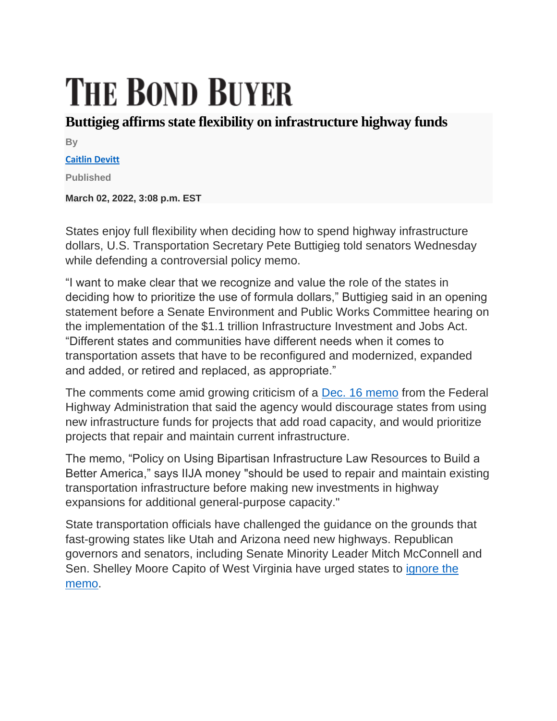## **THE BOND BUYER**

## **Buttigieg affirms state flexibility on infrastructure highway funds**

**By**

## **[Caitlin Devitt](https://www.bondbuyer.com/author/caitlin-devitt)**

**Published**

**March 02, 2022, 3:08 p.m. EST**

States enjoy full flexibility when deciding how to spend highway infrastructure dollars, U.S. Transportation Secretary Pete Buttigieg told senators Wednesday while defending a controversial policy memo.

"I want to make clear that we recognize and value the role of the states in deciding how to prioritize the use of formula dollars," Buttigieg said in an opening statement before a Senate Environment and Public Works Committee hearing on the implementation of the \$1.1 trillion Infrastructure Investment and Jobs Act. "Different states and communities have different needs when it comes to transportation assets that have to be reconfigured and modernized, expanded and added, or retired and replaced, as appropriate."

The comments come amid growing criticism of a [Dec. 16 memo](https://www.fhwa.dot.gov/bipartisan-infrastructure-law/building_a_better_america-policy_framework.cfm) from the Federal Highway Administration that said the agency would discourage states from using new infrastructure funds for projects that add road capacity, and would prioritize projects that repair and maintain current infrastructure.

The memo, "Policy on Using Bipartisan Infrastructure Law Resources to Build a Better America," says IIJA money "should be used to repair and maintain existing transportation infrastructure before making new investments in highway expansions for additional general-purpose capacity."

State transportation officials have challenged the guidance on the grounds that fast-growing states like Utah and Arizona need new highways. Republican governors and senators, including Senate Minority Leader Mitch McConnell and Sen. Shelley Moore Capito of West Virginia have urged states to [ignore the](https://www.bondbuyer.com/news/top-republicans-tell-governors-to-ignore-fhwa-guidance)  [memo.](https://www.bondbuyer.com/news/top-republicans-tell-governors-to-ignore-fhwa-guidance)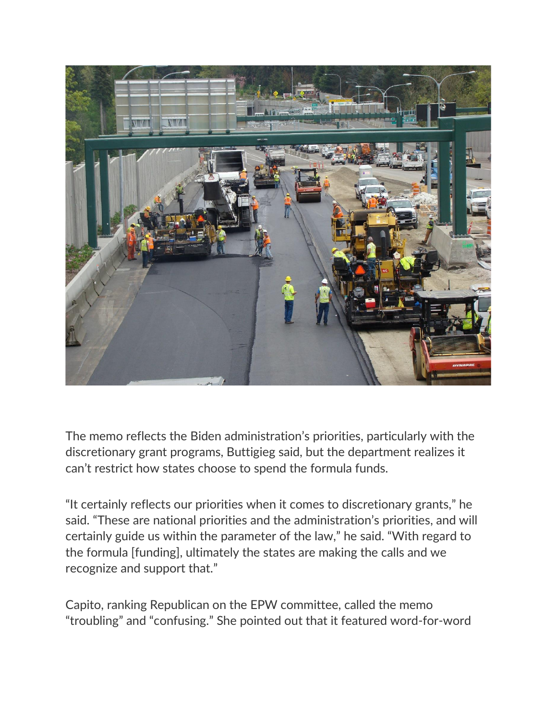

The memo reflects the Biden administration's priorities, particularly with the discretionary grant programs, Buttigieg said, but the department realizes it can't restrict how states choose to spend the formula funds.

"It certainly reflects our priorities when it comes to discretionary grants," he said. "These are national priorities and the administration's priorities, and will certainly guide us within the parameter of the law," he said. "With regard to the formula [funding], ultimately the states are making the calls and we recognize and support that."

Capito, ranking Republican on the EPW committee, called the memo "troubling" and "confusing." She pointed out that it featured word-for-word